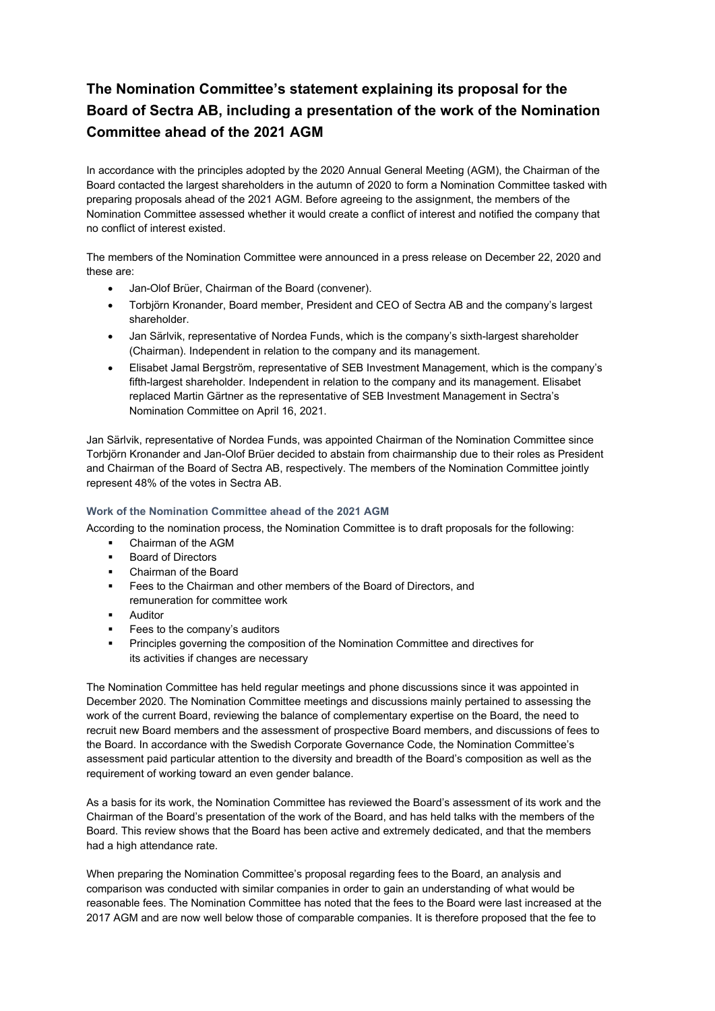# **The Nomination Committee's statement explaining its proposal for the Board of Sectra AB, including a presentation of the work of the Nomination Committee ahead of the 2021 AGM**

In accordance with the principles adopted by the 2020 Annual General Meeting (AGM), the Chairman of the Board contacted the largest shareholders in the autumn of 2020 to form a Nomination Committee tasked with preparing proposals ahead of the 2021 AGM. Before agreeing to the assignment, the members of the Nomination Committee assessed whether it would create a conflict of interest and notified the company that no conflict of interest existed.

The members of the Nomination Committee were announced in a press release on December 22, 2020 and these are:

- Jan-Olof Brüer, Chairman of the Board (convener).
- Torbjörn Kronander, Board member, President and CEO of Sectra AB and the company's largest shareholder.
- Jan Särlvik, representative of Nordea Funds, which is the company's sixth-largest shareholder (Chairman). Independent in relation to the company and its management.
- Elisabet Jamal Bergström, representative of SEB Investment Management, which is the company's fifth-largest shareholder. Independent in relation to the company and its management. Elisabet replaced Martin Gärtner as the representative of SEB Investment Management in Sectra's Nomination Committee on April 16, 2021.

Jan Särlvik, representative of Nordea Funds, was appointed Chairman of the Nomination Committee since Torbjörn Kronander and Jan-Olof Brüer decided to abstain from chairmanship due to their roles as President and Chairman of the Board of Sectra AB, respectively. The members of the Nomination Committee jointly represent 48% of the votes in Sectra AB.

## **Work of the Nomination Committee ahead of the 2021 AGM**

According to the nomination process, the Nomination Committee is to draft proposals for the following:

- Chairman of the AGM
- Board of Directors
- Chairman of the Board
- Fees to the Chairman and other members of the Board of Directors, and remuneration for committee work
- **Auditor**
- **Fees to the company's auditors**
- Principles governing the composition of the Nomination Committee and directives for its activities if changes are necessary

The Nomination Committee has held regular meetings and phone discussions since it was appointed in December 2020. The Nomination Committee meetings and discussions mainly pertained to assessing the work of the current Board, reviewing the balance of complementary expertise on the Board, the need to recruit new Board members and the assessment of prospective Board members, and discussions of fees to the Board. In accordance with the Swedish Corporate Governance Code, the Nomination Committee's assessment paid particular attention to the diversity and breadth of the Board's composition as well as the requirement of working toward an even gender balance.

As a basis for its work, the Nomination Committee has reviewed the Board's assessment of its work and the Chairman of the Board's presentation of the work of the Board, and has held talks with the members of the Board. This review shows that the Board has been active and extremely dedicated, and that the members had a high attendance rate.

When preparing the Nomination Committee's proposal regarding fees to the Board, an analysis and comparison was conducted with similar companies in order to gain an understanding of what would be reasonable fees. The Nomination Committee has noted that the fees to the Board were last increased at the 2017 AGM and are now well below those of comparable companies. It is therefore proposed that the fee to